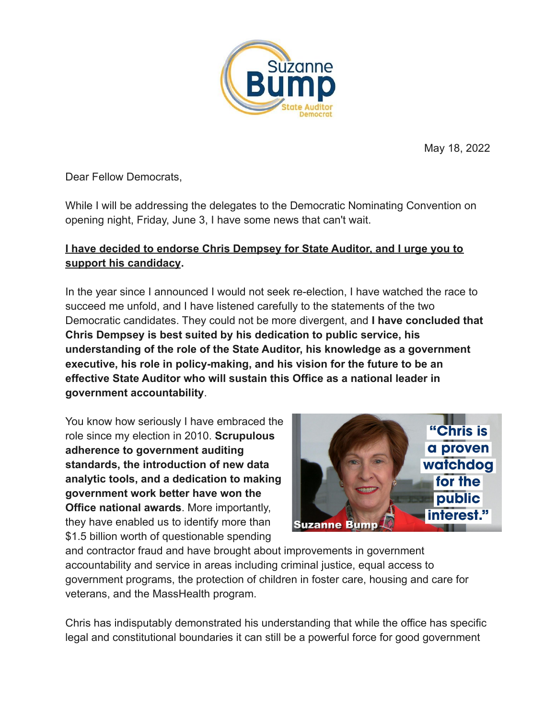

May 18, 2022

Dear Fellow Democrats,

While I will be addressing the delegates to the Democratic Nominating Convention on opening night, Friday, June 3, I have some news that can't wait.

## **I have decided to endorse Chris Dempsey for State Auditor, and I urge you to support his candidacy.**

In the year since I announced I would not seek re-election, I have watched the race to succeed me unfold, and I have listened carefully to the statements of the two Democratic candidates. They could not be more divergent, and **I have concluded that Chris Dempsey is best suited by his dedication to public service, his understanding of the role of the State Auditor, his knowledge as a government executive, his role in policy-making, and his vision for the future to be an effective State Auditor who will sustain this Office as a national leader in government accountability**.

You know how seriously I have embraced the role since my election in 2010. **Scrupulous adherence to government auditing standards, the introduction of new data analytic tools, and a dedication to making government work better have won the Office national awards**. More importantly, they have enabled us to identify more than \$1.5 billion worth of questionable spending



and contractor fraud and have brought about improvements in government accountability and service in areas including criminal justice, equal access to government programs, the protection of children in foster care, housing and care for veterans, and the MassHealth program.

Chris has indisputably demonstrated his understanding that while the office has specific legal and constitutional boundaries it can still be a powerful force for good government